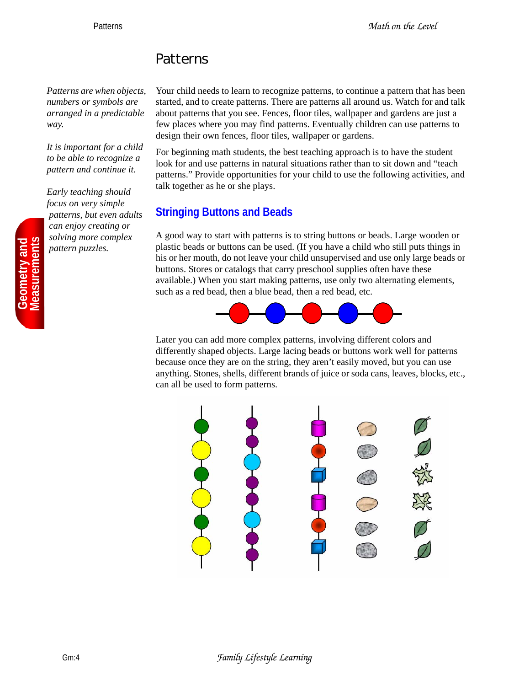# Patterns

*Patterns are when objects, numbers or symbols are arranged in a predictable way.*

*It is important for a child to be able to recognize a pattern and continue it.*

*Early teaching should focus on very simple patterns, but even adults can enjoy creating or solving more complex pattern puzzles.*

**Geometry and<br>deasurements** 

Your child needs to learn to recognize patterns, to continue a pattern that has been started, and to create patterns. There are patterns all around us. Watch for and talk about patterns that you see. Fences, floor tiles, wallpaper and gardens are just a few places where you may find patterns. Eventually children can use patterns to design their own fences, floor tiles, wallpaper or gardens.

For beginning math students, the best teaching approach is to have the student look for and use patterns in natural situations rather than to sit down and "teach patterns." Provide opportunities for your child to use the following activities, and talk together as he or she plays.

## **Stringing Buttons and Beads**

A good way to start with patterns is to string buttons or beads. Large wooden or plastic beads or buttons can be used. (If you have a child who still puts things in his or her mouth, do not leave your child unsupervised and use only large beads or buttons. Stores or catalogs that carry preschool supplies often have these available.) When you start making patterns, use only two alternating elements, such as a red bead, then a blue bead, then a red bead, etc.



Later you can add more complex patterns, involving different colors and differently shaped objects. Large lacing beads or buttons work well for patterns because once they are on the string, they aren't easily moved, but you can use anything. Stones, shells, different brands of juice or soda cans, leaves, blocks, etc., can all be used to form patterns.

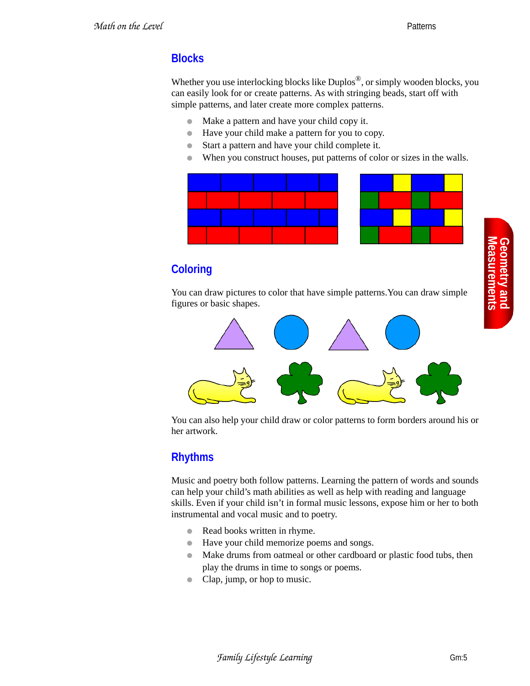#### **Blocks**

Whether you use interlocking blocks like Duplos<sup>®</sup>, or simply wooden blocks, you can easily look for or create patterns. As with stringing beads, start off with simple patterns, and later create more complex patterns.

- Make a pattern and have your child copy it.
- Have your child make a pattern for you to copy.
- Start a pattern and have your child complete it.
- When you construct houses, put patterns of color or sizes in the walls.



# **Coloring**

You can draw pictures to color that have simple patterns.You can draw simple figures or basic shapes.



You can also help your child draw or color patterns to form borders around his or her artwork.

#### **Rhythms**

Music and poetry both follow patterns. Learning the pattern of words and sounds can help your child's math abilities as well as help with reading and language skills. Even if your child isn't in formal music lessons, expose him or her to both instrumental and vocal music and to poetry.

- Read books written in rhyme.
- Have your child memorize poems and songs.
- Make drums from oatmeal or other cardboard or plastic food tubs, then play the drums in time to songs or poems.
- Clap, jump, or hop to music.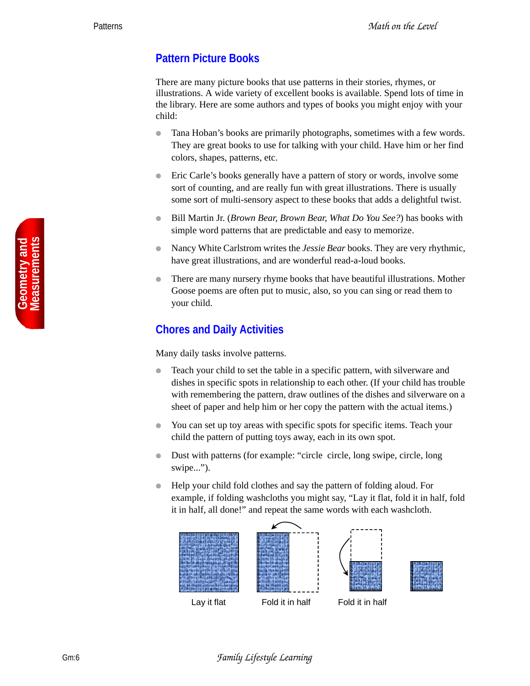#### **Pattern Picture Books**

There are many picture books that use patterns in their stories, rhymes, or illustrations. A wide variety of excellent books is available. Spend lots of time in the library. Here are some authors and types of books you might enjoy with your child:

- Tana Hoban's books are primarily photographs, sometimes with a few words. They are great books to use for talking with your child. Have him or her find colors, shapes, patterns, etc.
- Eric Carle's books generally have a pattern of story or words, involve some sort of counting, and are really fun with great illustrations. There is usually some sort of multi-sensory aspect to these books that adds a delightful twist.
- Bill Martin Jr. (*Brown Bear, Brown Bear, What Do You See?*) has books with simple word patterns that are predictable and easy to memorize.
- Nancy White Carlstrom writes the *Jessie Bear* books. They are very rhythmic, have great illustrations, and are wonderful read-a-loud books.
- There are many nursery rhyme books that have beautiful illustrations. Mother Goose poems are often put to music, also, so you can sing or read them to your child.

## **Chores and Daily Activities**

Many daily tasks involve patterns.

- Teach your child to set the table in a specific pattern, with silverware and dishes in specific spots in relationship to each other. (If your child has trouble with remembering the pattern, draw outlines of the dishes and silverware on a sheet of paper and help him or her copy the pattern with the actual items.)
- You can set up toy areas with specific spots for specific items. Teach your child the pattern of putting toys away, each in its own spot.
- Dust with patterns (for example: "circle circle, long swipe, circle, long swipe...").
- Help your child fold clothes and say the pattern of folding aloud. For example, if folding washcloths you might say, "Lay it flat, fold it in half, fold it in half, all done!" and repeat the same words with each washcloth.